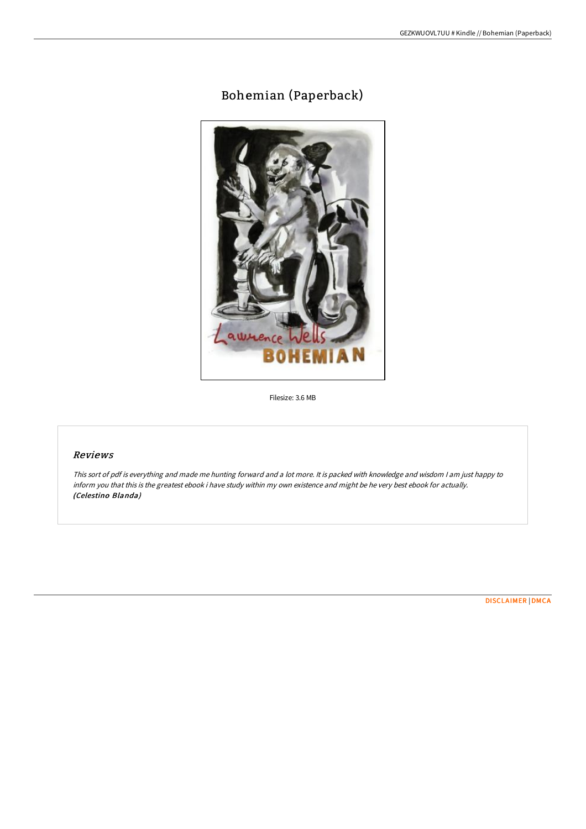## Bohemian (Paperback)



Filesize: 3.6 MB

## Reviews

This sort of pdf is everything and made me hunting forward and <sup>a</sup> lot more. It is packed with knowledge and wisdom <sup>I</sup> am just happy to inform you that this is the greatest ebook i have study within my own existence and might be he very best ebook for actually. (Celestino Blanda)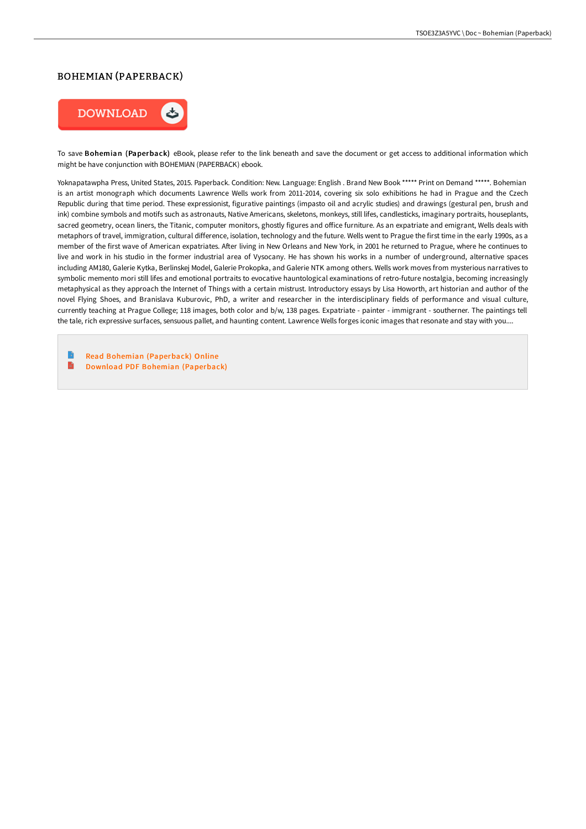## BOHEMIAN (PAPERBACK)



To save Bohemian (Paperback) eBook, please refer to the link beneath and save the document or get access to additional information which might be have conjunction with BOHEMIAN (PAPERBACK) ebook.

Yoknapatawpha Press, United States, 2015. Paperback. Condition: New. Language: English . Brand New Book \*\*\*\*\* Print on Demand \*\*\*\*\*. Bohemian is an artist monograph which documents Lawrence Wells work from 2011-2014, covering six solo exhibitions he had in Prague and the Czech Republic during that time period. These expressionist, figurative paintings (impasto oil and acrylic studies) and drawings (gestural pen, brush and ink) combine symbols and motifs such as astronauts, Native Americans, skeletons, monkeys, still lifes, candlesticks, imaginary portraits, houseplants, sacred geometry, ocean liners, the Titanic, computer monitors, ghostly figures and office furniture. As an expatriate and emigrant, Wells deals with metaphors of travel, immigration, cultural difference, isolation, technology and the future. Wells went to Prague the first time in the early 1990s, as a member of the first wave of American expatriates. After living in New Orleans and New York, in 2001 he returned to Prague, where he continues to live and work in his studio in the former industrial area of Vysocany. He has shown his works in a number of underground, alternative spaces including AM180, Galerie Kytka, Berlinskej Model, Galerie Prokopka, and Galerie NTK among others. Wells work moves from mysterious narratives to symbolic memento mori still lifes and emotional portraits to evocative hauntological examinations of retro-future nostalgia, becoming increasingly metaphysical as they approach the Internet of Things with a certain mistrust. Introductory essays by Lisa Howorth, art historian and author of the novel Flying Shoes, and Branislava Kuburovic, PhD, a writer and researcher in the interdisciplinary fields of performance and visual culture, currently teaching at Prague College; 118 images, both color and b/w, 138 pages. Expatriate - painter - immigrant - southerner. The paintings tell the tale, rich expressive surfaces, sensuous pallet, and haunting content. Lawrence Wells forges iconic images that resonate and stay with you....

B Read Bohemian [\(Paperback\)](http://www.bookdirs.com/bohemian-paperback.html) Online  $\blacksquare$ 

Download PDF Bohemian [\(Paperback\)](http://www.bookdirs.com/bohemian-paperback.html)